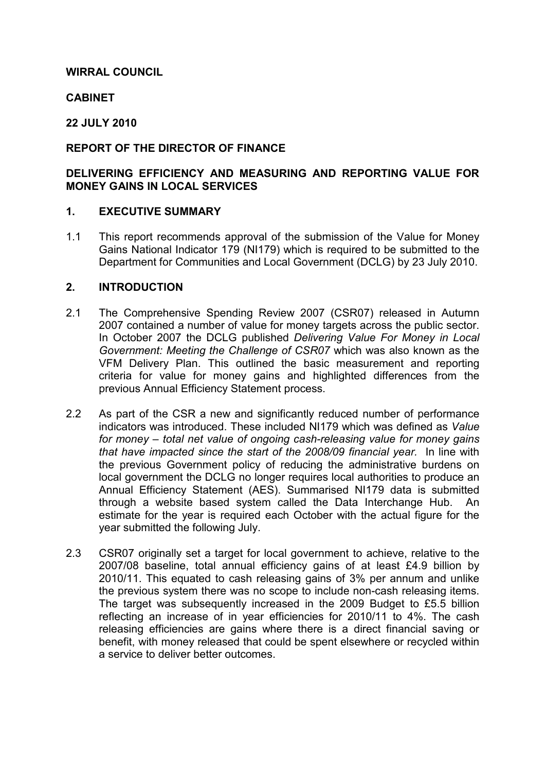# WIRRAL COUNCIL

## **CABINET**

# 22 JULY 2010

# REPORT OF THE DIRECTOR OF FINANCE

# DELIVERING EFFICIENCY AND MEASURING AND REPORTING VALUE FOR MONEY GAINS IN LOCAL SERVICES

#### 1. EXECUTIVE SUMMARY

1.1 This report recommends approval of the submission of the Value for Money Gains National Indicator 179 (NI179) which is required to be submitted to the Department for Communities and Local Government (DCLG) by 23 July 2010.

### 2. INTRODUCTION

- 2.1 The Comprehensive Spending Review 2007 (CSR07) released in Autumn 2007 contained a number of value for money targets across the public sector. In October 2007 the DCLG published Delivering Value For Money in Local Government: Meeting the Challenge of CSR07 which was also known as the VFM Delivery Plan. This outlined the basic measurement and reporting criteria for value for money gains and highlighted differences from the previous Annual Efficiency Statement process.
- 2.2 As part of the CSR a new and significantly reduced number of performance indicators was introduced. These included NI179 which was defined as Value for money – total net value of ongoing cash-releasing value for money gains that have impacted since the start of the 2008/09 financial year. In line with the previous Government policy of reducing the administrative burdens on local government the DCLG no longer requires local authorities to produce an Annual Efficiency Statement (AES). Summarised NI179 data is submitted through a website based system called the Data Interchange Hub. An estimate for the year is required each October with the actual figure for the year submitted the following July.
- 2.3 CSR07 originally set a target for local government to achieve, relative to the 2007/08 baseline, total annual efficiency gains of at least £4.9 billion by 2010/11. This equated to cash releasing gains of 3% per annum and unlike the previous system there was no scope to include non-cash releasing items. The target was subsequently increased in the 2009 Budget to £5.5 billion reflecting an increase of in year efficiencies for 2010/11 to 4%. The cash releasing efficiencies are gains where there is a direct financial saving or benefit, with money released that could be spent elsewhere or recycled within a service to deliver better outcomes.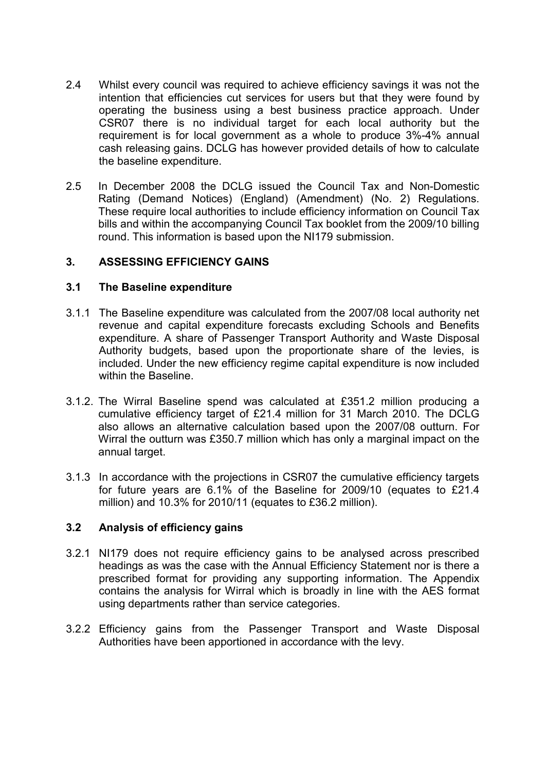- 2.4 Whilst every council was required to achieve efficiency savings it was not the intention that efficiencies cut services for users but that they were found by operating the business using a best business practice approach. Under CSR07 there is no individual target for each local authority but the requirement is for local government as a whole to produce 3%-4% annual cash releasing gains. DCLG has however provided details of how to calculate the baseline expenditure.
- 2.5 In December 2008 the DCLG issued the Council Tax and Non-Domestic Rating (Demand Notices) (England) (Amendment) (No. 2) Regulations. These require local authorities to include efficiency information on Council Tax bills and within the accompanying Council Tax booklet from the 2009/10 billing round. This information is based upon the NI179 submission.

# 3. ASSESSING EFFICIENCY GAINS

### 3.1 The Baseline expenditure

- 3.1.1 The Baseline expenditure was calculated from the 2007/08 local authority net revenue and capital expenditure forecasts excluding Schools and Benefits expenditure. A share of Passenger Transport Authority and Waste Disposal Authority budgets, based upon the proportionate share of the levies, is included. Under the new efficiency regime capital expenditure is now included within the Baseline.
- 3.1.2. The Wirral Baseline spend was calculated at £351.2 million producing a cumulative efficiency target of £21.4 million for 31 March 2010. The DCLG also allows an alternative calculation based upon the 2007/08 outturn. For Wirral the outturn was £350.7 million which has only a marginal impact on the annual target.
- 3.1.3 In accordance with the projections in CSR07 the cumulative efficiency targets for future years are 6.1% of the Baseline for 2009/10 (equates to £21.4 million) and 10.3% for 2010/11 (equates to £36.2 million).

## 3.2 Analysis of efficiency gains

- 3.2.1 NI179 does not require efficiency gains to be analysed across prescribed headings as was the case with the Annual Efficiency Statement nor is there a prescribed format for providing any supporting information. The Appendix contains the analysis for Wirral which is broadly in line with the AES format using departments rather than service categories.
- 3.2.2 Efficiency gains from the Passenger Transport and Waste Disposal Authorities have been apportioned in accordance with the levy.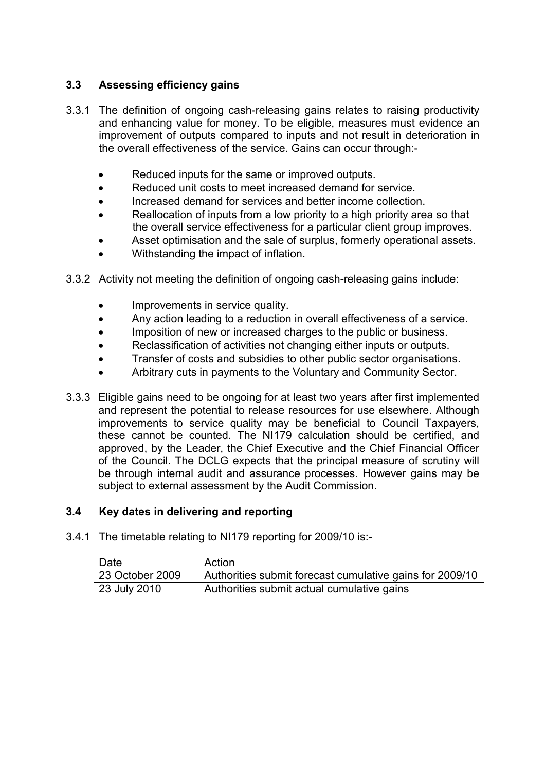# 3.3 Assessing efficiency gains

- 3.3.1 The definition of ongoing cash-releasing gains relates to raising productivity and enhancing value for money. To be eligible, measures must evidence an improvement of outputs compared to inputs and not result in deterioration in the overall effectiveness of the service. Gains can occur through:-
	- Reduced inputs for the same or improved outputs.
	- Reduced unit costs to meet increased demand for service.
	- Increased demand for services and better income collection.
	- Reallocation of inputs from a low priority to a high priority area so that the overall service effectiveness for a particular client group improves.
	- Asset optimisation and the sale of surplus, formerly operational assets.
	- Withstanding the impact of inflation.
- 3.3.2 Activity not meeting the definition of ongoing cash-releasing gains include:
	- Improvements in service quality.
	- Any action leading to a reduction in overall effectiveness of a service.
	- Imposition of new or increased charges to the public or business.
	- Reclassification of activities not changing either inputs or outputs.
	- Transfer of costs and subsidies to other public sector organisations.
	- Arbitrary cuts in payments to the Voluntary and Community Sector.
- 3.3.3 Eligible gains need to be ongoing for at least two years after first implemented and represent the potential to release resources for use elsewhere. Although improvements to service quality may be beneficial to Council Taxpayers, these cannot be counted. The NI179 calculation should be certified, and approved, by the Leader, the Chief Executive and the Chief Financial Officer of the Council. The DCLG expects that the principal measure of scrutiny will be through internal audit and assurance processes. However gains may be subject to external assessment by the Audit Commission.

### 3.4 Key dates in delivering and reporting

3.4.1 The timetable relating to NI179 reporting for 2009/10 is:-

| l Date          | Action                                                   |
|-----------------|----------------------------------------------------------|
| 23 October 2009 | Authorities submit forecast cumulative gains for 2009/10 |
| 23 July 2010    | Authorities submit actual cumulative gains               |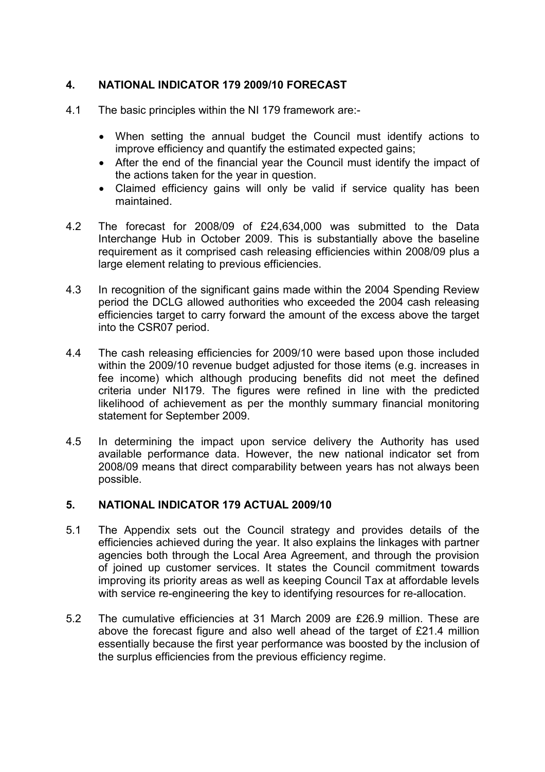# 4. NATIONAL INDICATOR 179 2009/10 FORECAST

- 4.1 The basic principles within the NI 179 framework are:-
	- When setting the annual budget the Council must identify actions to improve efficiency and quantify the estimated expected gains;
	- After the end of the financial year the Council must identify the impact of the actions taken for the year in question.
	- Claimed efficiency gains will only be valid if service quality has been maintained.
- 4.2 The forecast for 2008/09 of £24,634,000 was submitted to the Data Interchange Hub in October 2009. This is substantially above the baseline requirement as it comprised cash releasing efficiencies within 2008/09 plus a large element relating to previous efficiencies.
- 4.3 In recognition of the significant gains made within the 2004 Spending Review period the DCLG allowed authorities who exceeded the 2004 cash releasing efficiencies target to carry forward the amount of the excess above the target into the CSR07 period.
- 4.4 The cash releasing efficiencies for 2009/10 were based upon those included within the 2009/10 revenue budget adjusted for those items (e.g. increases in fee income) which although producing benefits did not meet the defined criteria under NI179. The figures were refined in line with the predicted likelihood of achievement as per the monthly summary financial monitoring statement for September 2009.
- 4.5 In determining the impact upon service delivery the Authority has used available performance data. However, the new national indicator set from 2008/09 means that direct comparability between years has not always been possible.

### 5. NATIONAL INDICATOR 179 ACTUAL 2009/10

- 5.1 The Appendix sets out the Council strategy and provides details of the efficiencies achieved during the year. It also explains the linkages with partner agencies both through the Local Area Agreement, and through the provision of joined up customer services. It states the Council commitment towards improving its priority areas as well as keeping Council Tax at affordable levels with service re-engineering the key to identifying resources for re-allocation.
- 5.2 The cumulative efficiencies at 31 March 2009 are £26.9 million. These are above the forecast figure and also well ahead of the target of £21.4 million essentially because the first year performance was boosted by the inclusion of the surplus efficiencies from the previous efficiency regime.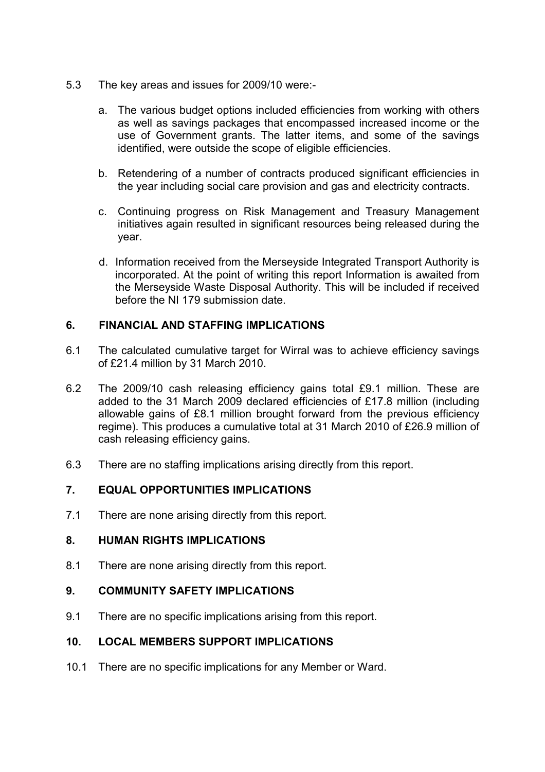- 5.3 The key areas and issues for 2009/10 were:
	- a. The various budget options included efficiencies from working with others as well as savings packages that encompassed increased income or the use of Government grants. The latter items, and some of the savings identified, were outside the scope of eligible efficiencies.
	- b. Retendering of a number of contracts produced significant efficiencies in the year including social care provision and gas and electricity contracts.
	- c. Continuing progress on Risk Management and Treasury Management initiatives again resulted in significant resources being released during the year.
	- d. Information received from the Merseyside Integrated Transport Authority is incorporated. At the point of writing this report Information is awaited from the Merseyside Waste Disposal Authority. This will be included if received before the NI 179 submission date.

# 6. FINANCIAL AND STAFFING IMPLICATIONS

- 6.1 The calculated cumulative target for Wirral was to achieve efficiency savings of £21.4 million by 31 March 2010.
- 6.2 The 2009/10 cash releasing efficiency gains total £9.1 million. These are added to the 31 March 2009 declared efficiencies of £17.8 million (including allowable gains of £8.1 million brought forward from the previous efficiency regime). This produces a cumulative total at 31 March 2010 of £26.9 million of cash releasing efficiency gains.
- 6.3 There are no staffing implications arising directly from this report.

# 7. EQUAL OPPORTUNITIES IMPLICATIONS

7.1 There are none arising directly from this report.

### 8. HUMAN RIGHTS IMPLICATIONS

8.1 There are none arising directly from this report.

### 9. COMMUNITY SAFETY IMPLICATIONS

9.1 There are no specific implications arising from this report.

### 10. LOCAL MEMBERS SUPPORT IMPLICATIONS

10.1 There are no specific implications for any Member or Ward.